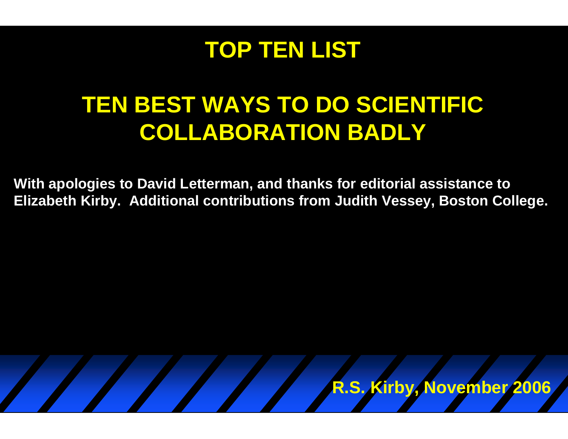

## **TEN BEST WAYS TO DO SCIENTIFIC COLLABORATION BADLY**

**With apologies to David Letterman, and thanks for editorial assistance to Elizabeth Kirby. Additional contributions from Judith Vessey, Boston College.**

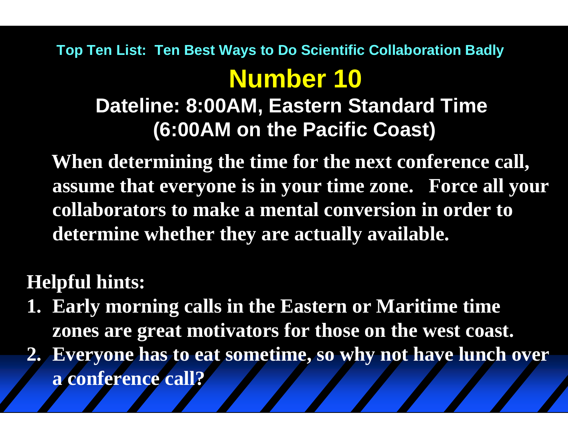**Dateline: 8:00AM, Eastern Standard Time (6:00AM on the Pacific Coast)**

**When determining the time for the next conference call, assume that everyone is in your time zone. Force all your collaborators to make a mental conversion in order to determine whether they are actually available.**

#### **Helpful hints:**

- **1. Early morning calls in the Eastern or Maritime time zones are great motivators for those on the west coast.**
- **2. Everyone has to eat sometime, so why not have lunch over a conference call?**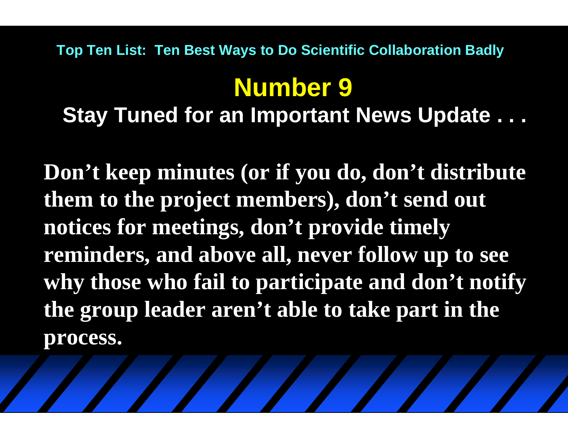# **Number 9**

#### **Stay Tuned for an Important News Update . . .**

**Don't keep minutes (or if you do, don't distribute them to the project members), don't send out notices for meetings, don't provide timely reminders, and above all, never follow up to see why those who fail to participate and don't notify the group leader aren't able to take part in the process.**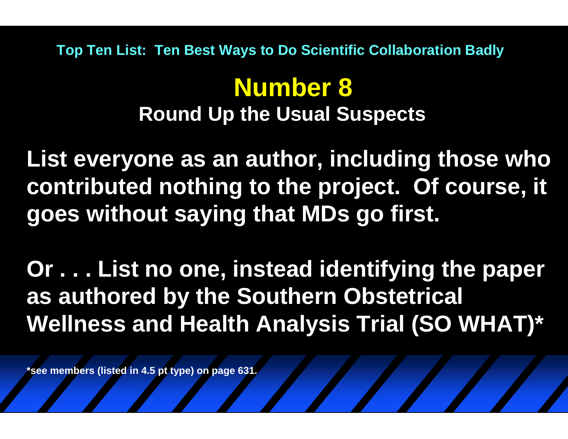#### **Number 8 Round Up the Usual Suspects**

**List everyone as an author, including those who contributed nothing to the project. Of course, it goes without saying that MDs go first.**

**Or . . . List no one, instead identifying the paper as authored by the Southern Obstetrical Wellness and Health Analysis Trial (SO WHAT)\***

**\*see members (listed in 4.5 pt type) on page 631.**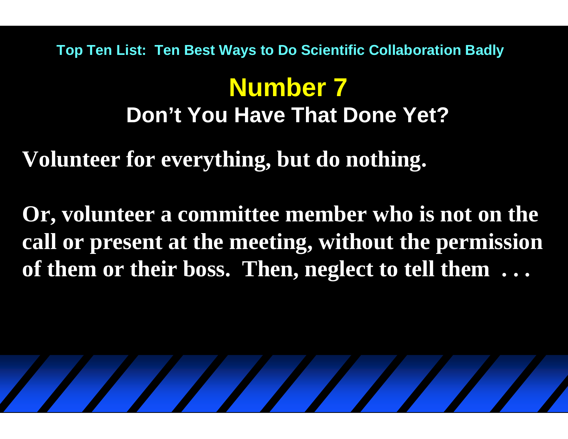## **Number 7Don't You Have That Done Yet?**

**Volunteer for everything, but do nothing.** 

**Or, volunteer a committee member who is not on the call or present at the meeting, without the permission of them or their boss. Then, neglect to tell them . . .**

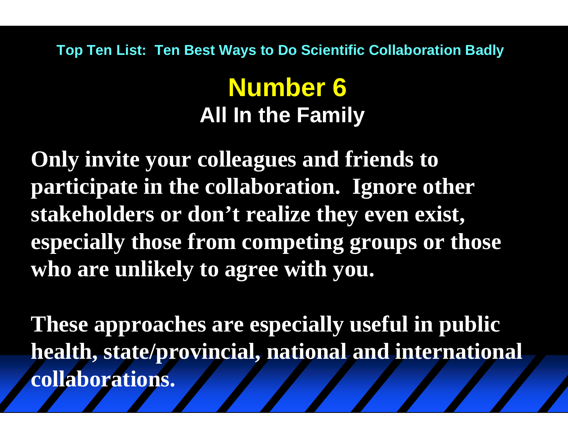#### **Number 6 All In the Family**

**Only invite your colleagues and friends to participate in the collaboration. Ignore other stakeholders or don't realize they even exist, especially those from competing groups or those who are unlikely to agree with you.**

**These approaches are especially useful in public health, state/provincial, national and international collaborations.**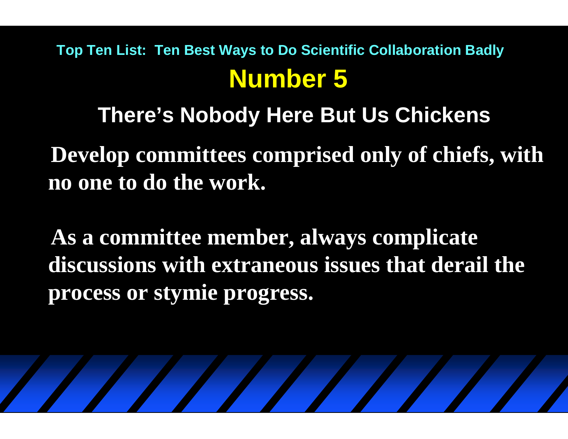#### **There's Nobody Here But Us Chickens**

**Develop committees comprised only of chiefs, with no one to do the work.**

**As a committee member, always complicate discussions with extraneous issues that derail the process or stymie progress.**

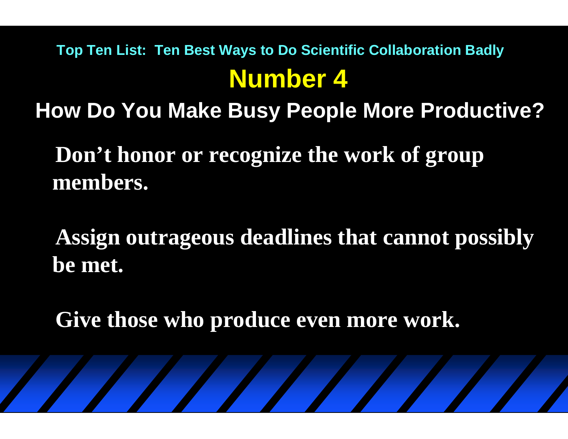**How Do You Make Busy People More Productive?**

**Don't honor or recognize the work of group members.** 

**Assign outrageous deadlines that cannot possibly be met.**

**Give those who produce even more work.**

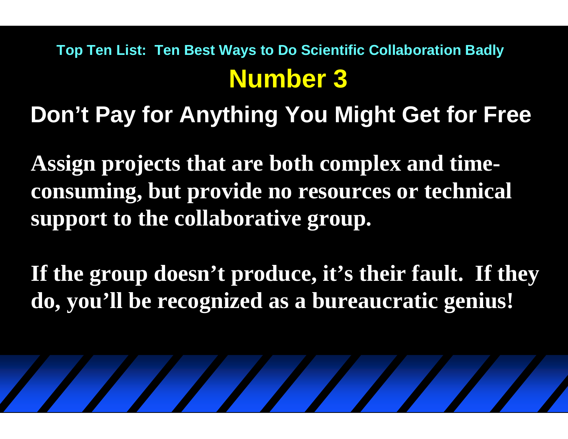**Don't Pay for Anything You Might Get for Free**

**Assign projects that are both complex and timeconsuming, but provide no resources or technical support to the collaborative group.**

**If the group doesn't produce, it's their fault. If they do, you'll be recognized as a bureaucratic genius!**

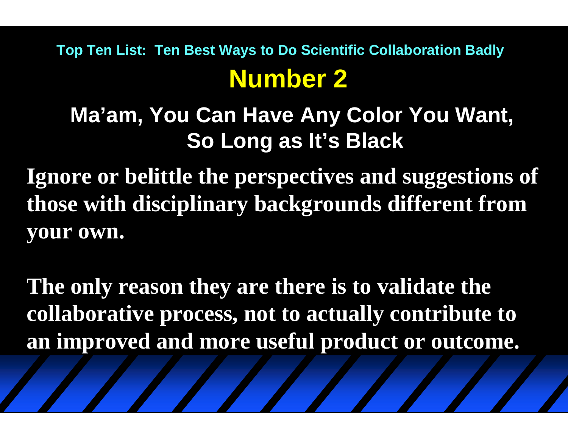**Ma'am, You Can Have Any Color You Want, So Long as It's Black**

**Ignore or belittle the perspectives and suggestions of those with disciplinary backgrounds different from your own.**

**The only reason they are there is to validate the collaborative process, not to actually contribute to an improved and more useful product or outcome.**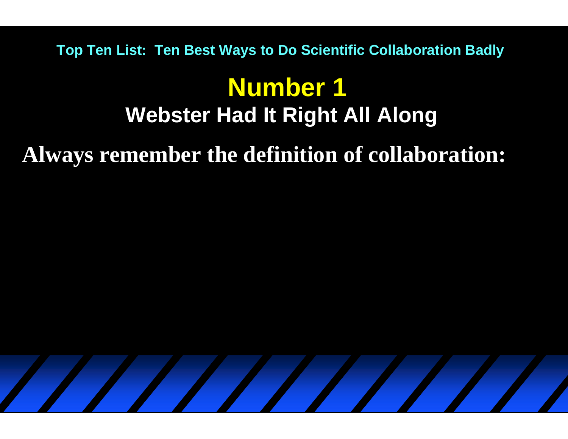## **Number 1 Webster Had It Right All Along**

**Always remember the definition of collaboration:**

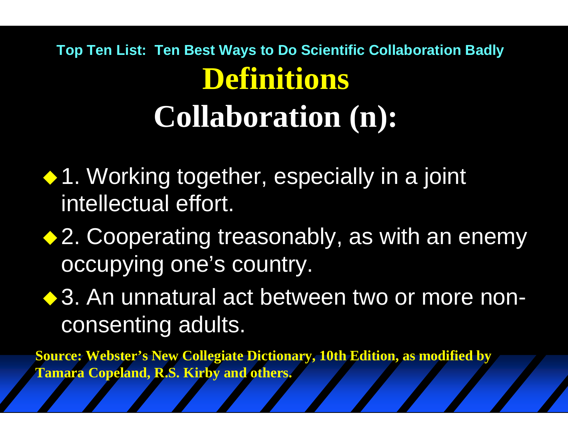# **Top Ten List: Ten Best Ways to Do Scientific Collaboration Badly Definitions Collaboration (n):**

- ◆ 1. Working together, especially in a joint intellectual effort.
- ◆ 2. Cooperating treasonably, as with an enemy occupying one's country.
- ◆ 3. An unnatural act between two or more nonconsenting adults.

**Source: Webster's New Collegiate Dictionary, 10th Edition, as modified by Tamara Copeland, R.S. Kirby and others.**